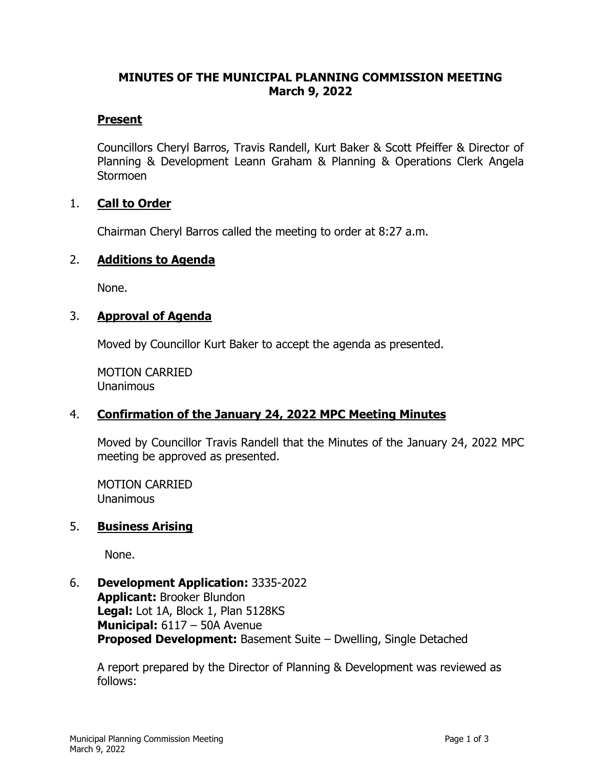#### **MINUTES OF THE MUNICIPAL PLANNING COMMISSION MEETING March 9, 2022**

#### **Present**

Councillors Cheryl Barros, Travis Randell, Kurt Baker & Scott Pfeiffer & Director of Planning & Development Leann Graham & Planning & Operations Clerk Angela Stormoen

## 1. **Call to Order**

Chairman Cheryl Barros called the meeting to order at 8:27 a.m.

## 2. **Additions to Agenda**

None.

## 3. **Approval of Agenda**

Moved by Councillor Kurt Baker to accept the agenda as presented.

MOTION CARRIED Unanimous

## 4. **Confirmation of the January 24, 2022 MPC Meeting Minutes**

Moved by Councillor Travis Randell that the Minutes of the January 24, 2022 MPC meeting be approved as presented.

MOTION CARRIED **Unanimous** 

## 5. **Business Arising**

None.

# 6. **Development Application:** 3335-2022

**Applicant:** Brooker Blundon **Legal:** Lot 1A, Block 1, Plan 5128KS **Municipal:** 6117 – 50A Avenue **Proposed Development:** Basement Suite – Dwelling, Single Detached

A report prepared by the Director of Planning & Development was reviewed as follows: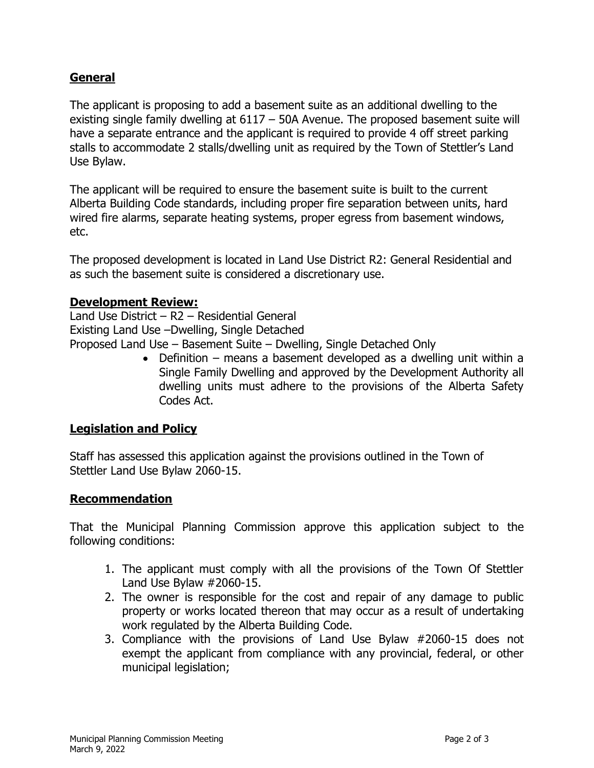## **General**

The applicant is proposing to add a basement suite as an additional dwelling to the existing single family dwelling at 6117 – 50A Avenue. The proposed basement suite will have a separate entrance and the applicant is required to provide 4 off street parking stalls to accommodate 2 stalls/dwelling unit as required by the Town of Stettler's Land Use Bylaw.

The applicant will be required to ensure the basement suite is built to the current Alberta Building Code standards, including proper fire separation between units, hard wired fire alarms, separate heating systems, proper egress from basement windows, etc.

The proposed development is located in Land Use District R2: General Residential and as such the basement suite is considered a discretionary use.

#### **Development Review:**

Land Use District – R2 – Residential General Existing Land Use –Dwelling, Single Detached Proposed Land Use – Basement Suite – Dwelling, Single Detached Only

• Definition – means a basement developed as a dwelling unit within a Single Family Dwelling and approved by the Development Authority all dwelling units must adhere to the provisions of the Alberta Safety Codes Act.

## **Legislation and Policy**

Staff has assessed this application against the provisions outlined in the Town of Stettler Land Use Bylaw 2060-15.

## **Recommendation**

That the Municipal Planning Commission approve this application subject to the following conditions:

- 1. The applicant must comply with all the provisions of the Town Of Stettler Land Use Bylaw #2060-15.
- 2. The owner is responsible for the cost and repair of any damage to public property or works located thereon that may occur as a result of undertaking work regulated by the Alberta Building Code.
- 3. Compliance with the provisions of Land Use Bylaw #2060-15 does not exempt the applicant from compliance with any provincial, federal, or other municipal legislation;